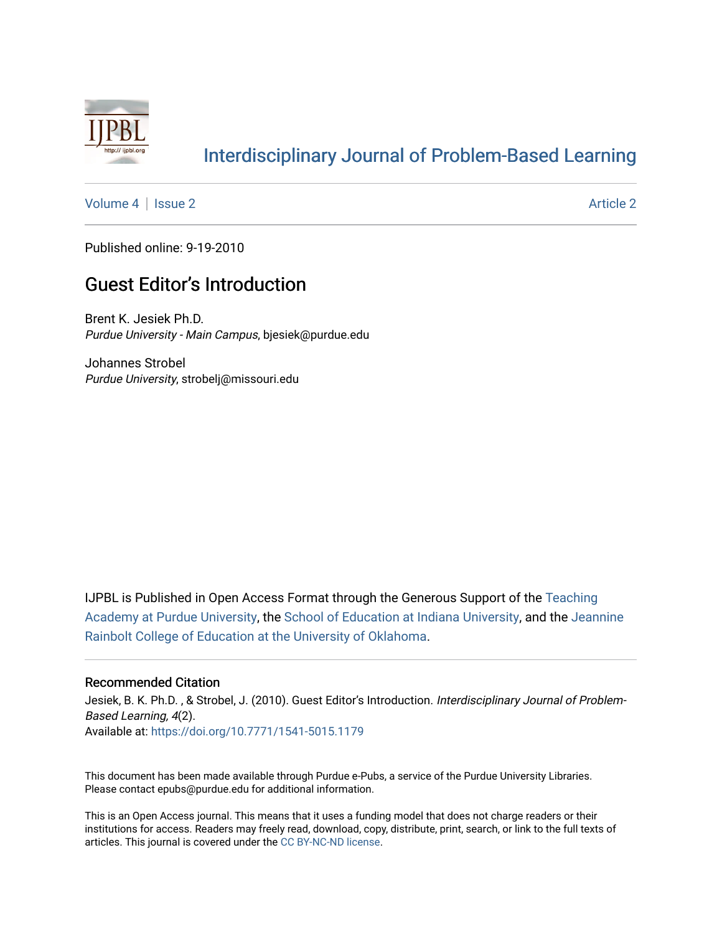

# [Interdisciplinary Journal of Problem-Based Learning](https://docs.lib.purdue.edu/ijpbl)

[Volume 4](https://docs.lib.purdue.edu/ijpbl/vol4) | [Issue 2](https://docs.lib.purdue.edu/ijpbl/vol4/iss2) Article 2

Published online: 9-19-2010

## **Guest Editor's Introduction**

Brent K. Jesiek Ph.D. Purdue University - Main Campus, bjesiek@purdue.edu

Johannes Strobel Purdue University, strobelj@missouri.edu

IJPBL is Published in Open Access Format through the Generous Support of the [Teaching](https://www.purdue.edu/cie/aboutus/teachingacademy.html) [Academy at Purdue University](https://www.purdue.edu/cie/aboutus/teachingacademy.html), the [School of Education at Indiana University,](https://education.indiana.edu/index.html) and the [Jeannine](http://ou.edu/education) [Rainbolt College of Education at the University of Oklahoma](http://ou.edu/education).

#### Recommended Citation

Jesiek, B. K. Ph.D., & Strobel, J. (2010). Guest Editor's Introduction. Interdisciplinary Journal of Problem-Based Learning, 4(2). Available at:<https://doi.org/10.7771/1541-5015.1179>

This document has been made available through Purdue e-Pubs, a service of the Purdue University Libraries. Please contact epubs@purdue.edu for additional information.

This is an Open Access journal. This means that it uses a funding model that does not charge readers or their institutions for access. Readers may freely read, download, copy, distribute, print, search, or link to the full texts of articles. This journal is covered under the [CC BY-NC-ND license](https://creativecommons.org/licenses/by-nc-nd/4.0/).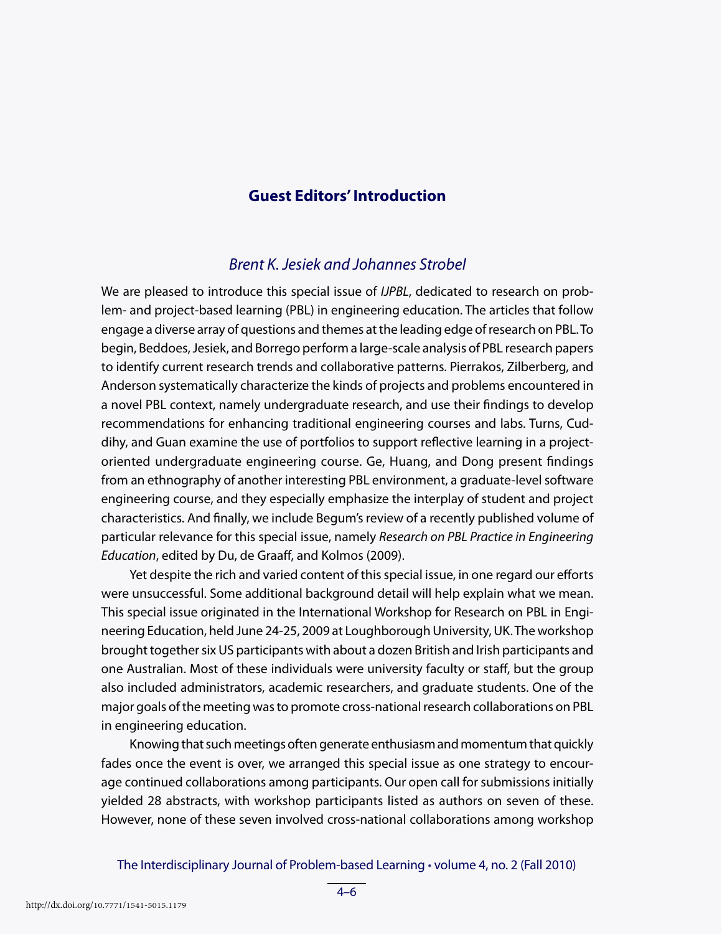## **Guest Editors' Introduction**

### *Brent K. Jesiek and Johannes Strobel*

We are pleased to introduce this special issue of *IJPBL*, dedicated to research on problem- and project-based learning (PBL) in engineering education. The articles that follow engage a diverse array of questions and themes at the leading edge of research on PBL. To begin, Beddoes, Jesiek, and Borrego perform a large-scale analysis of PBL research papers to identify current research trends and collaborative patterns. Pierrakos, Zilberberg, and Anderson systematically characterize the kinds of projects and problems encountered in a novel PBL context, namely undergraduate research, and use their findings to develop recommendations for enhancing traditional engineering courses and labs. Turns, Cuddihy, and Guan examine the use of portfolios to support reflective learning in a projectoriented undergraduate engineering course. Ge, Huang, and Dong present findings from an ethnography of another interesting PBL environment, a graduate-level software engineering course, and they especially emphasize the interplay of student and project characteristics. And finally, we include Begum's review of a recently published volume of particular relevance for this special issue, namely *Research on PBL Practice in Engineering Education*, edited by Du, de Graaff, and Kolmos (2009).

Yet despite the rich and varied content of this special issue, in one regard our efforts were unsuccessful. Some additional background detail will help explain what we mean. This special issue originated in the International Workshop for Research on PBL in Engineering Education, held June 24-25, 2009 at Loughborough University, UK. The workshop brought together six US participants with about a dozen British and Irish participants and one Australian. Most of these individuals were university faculty or staff , but the group also included administrators, academic researchers, and graduate students. One of the major goals of the meeting was to promote cross-national research collaborations on PBL in engineering education.

Knowing that such meetings often generate enthusiasm and momentum that quickly fades once the event is over, we arranged this special issue as one strategy to encourage continued collaborations among participants. Our open call for submissions initially yielded 28 abstracts, with workshop participants listed as authors on seven of these. However, none of these seven involved cross-national collaborations among workshop

The Interdisciplinary Journal of Problem-based Learning • volume 4, no. 2 (Fall 2010)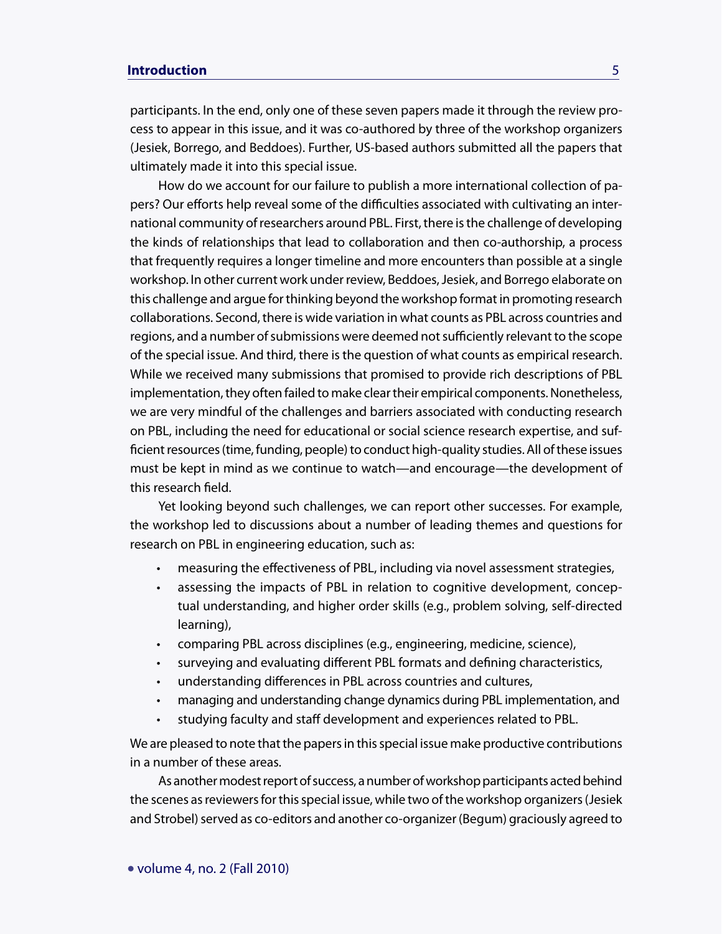### **Introduction** 5

participants. In the end, only one of these seven papers made it through the review process to appear in this issue, and it was co-authored by three of the workshop organizers (Jesiek, Borrego, and Beddoes). Further, US-based authors submitted all the papers that ultimately made it into this special issue.

How do we account for our failure to publish a more international collection of papers? Our efforts help reveal some of the difficulties associated with cultivating an international community of researchers around PBL. First, there is the challenge of developing the kinds of relationships that lead to collaboration and then co-authorship, a process that frequently requires a longer timeline and more encounters than possible at a single workshop. In other current work under review, Beddoes, Jesiek, and Borrego elaborate on this challenge and argue for thinking beyond the workshop format in promoting research collaborations. Second, there is wide variation in what counts as PBL across countries and regions, and a number of submissions were deemed not sufficiently relevant to the scope of the special issue. And third, there is the question of what counts as empirical research. While we received many submissions that promised to provide rich descriptions of PBL implementation, they often failed to make clear their empirical components. Nonetheless, we are very mindful of the challenges and barriers associated with conducting research on PBL, including the need for educational or social science research expertise, and sufficient resources (time, funding, people) to conduct high-quality studies. All of these issues must be kept in mind as we continue to watch—and encourage—the development of this research field.

Yet looking beyond such challenges, we can report other successes. For example, the workshop led to discussions about a number of leading themes and questions for research on PBL in engineering education, such as:

- measuring the effectiveness of PBL, including via novel assessment strategies,
- assessing the impacts of PBL in relation to cognitive development, conceptual understanding, and higher order skills (e.g., problem solving, self-directed learning),
- comparing PBL across disciplines (e.g., engineering, medicine, science),
- surveying and evaluating different PBL formats and defining characteristics,
- understanding differences in PBL across countries and cultures,
- managing and understanding change dynamics during PBL implementation, and
- studying faculty and staff development and experiences related to PBL.

We are pleased to note that the papers in this special issue make productive contributions in a number of these areas.

As another modest report of success, a number of workshop participants acted behind the scenes as reviewers for this special issue, while two of the workshop organizers (Jesiek and Strobel) served as co-editors and another co-organizer (Begum) graciously agreed to